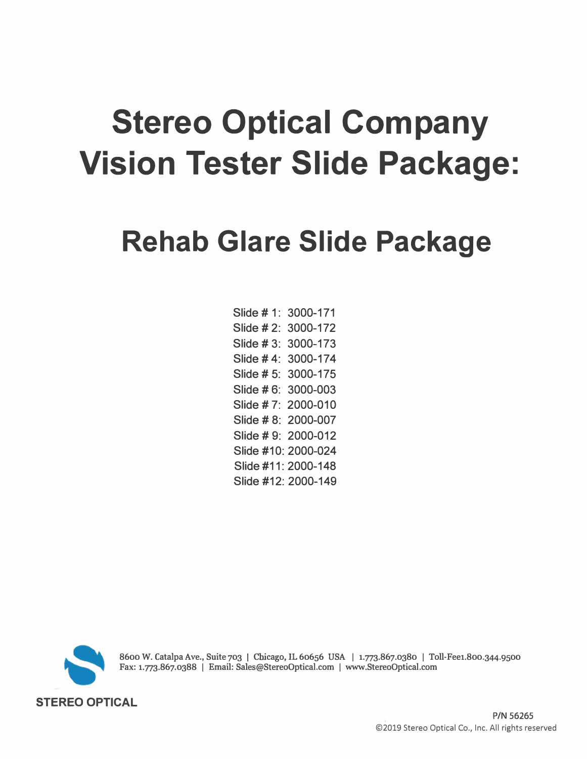# **Stereo Optical Company Vision Tester Slide Package:**

## **Rehab Glare Slide Package**

Slide# 1: 3000-171 Slide # 2: 3000-172 Slide# 3: 3000-173 Slide# 4: 3000-174 Slide# 5: 3000-175 Slide # 6: 3000-003 Slide# 7: 2000-010 Slide # 8: 2000-007 Slide# 9: 2000-012 Slide #10: 2000-024 Slide #11: 2000-148 Slide #12: 2000-149



**8600 W. Catalpa Ave., Suite 703** I **Chicago, IL 60656 USA** I **1.773.867.0380** I **Toll-Fee1.800.344.9500 Fax: 1.773.867.0388** I **Email: Sales@StereoOptical.com** I **www.StereoOptical.com**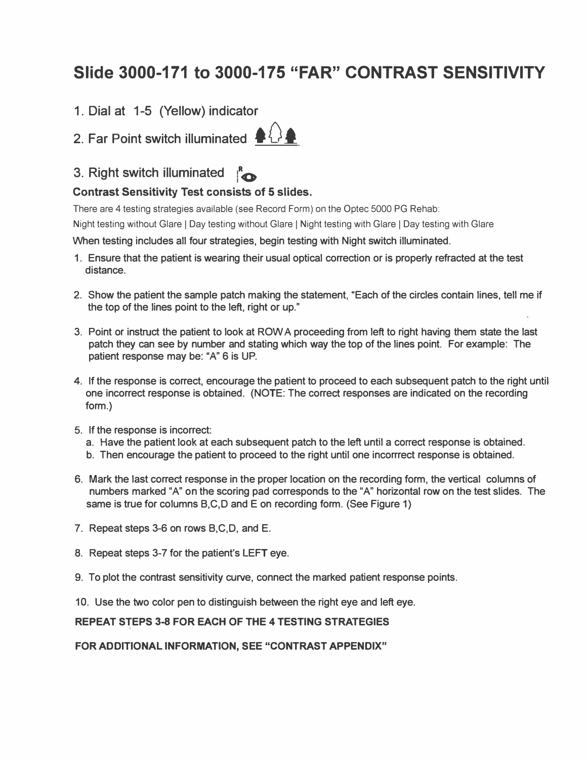## **Slide 3000-171 to 3000-175 "FAR" CONTRAST SENSITIVITY**

1. Dial at 1-5 (Yellow) indicator

2. Far Point switch illuminated  $\bigoplus$ 



### 3. Right switch illuminated  $\mathbb{R}$

#### **Contrast Sensitivity Test consists of 5 slides.**

There are 4 testing strategies available (see Record Form) on the Optec 5000 PG Rehab:

Night testing without Glare | Day testing without Glare | Night testing with Glare | Day testing with Glare

**When testing includes all four strategies, begin testing with Night switch illuminated.** 

- **1. Ensure that the patient is wearing their usual optical correction or is properly refracted at the test distance.**
- **2. Show the patient the sample patch making the statement, "Each of the circles contain lines, tell me if the top of the lines point to the left, right or up."**
- **3. Point or instruct the patient to look at ROW A proceeding from left to right having them state the last patch they can see by number and stating which way the top of the lines point. For example: The patient response may be: "A" 6 is UP.**
- **4. If the response is correct, encourage the patient to proceed to each subsequent patch to the right until one incorrect response is obtained. (NOTE: The correct responses are indicated on the recording form.)**
- **5. If the response is incorrect:**
	- **a. Have the patient look at each subsequent patch to the left until a correct response is obtained.**
	- **b. Then encourage the patient to proceed to the right until one incorrrect response is obtained.**
- **6. Mark the last correct response in the proper location on the recording form, the vertical columns of numbers marked "A" on the scoring pad corresponds to the "A" horizontal row on the test slides. The same is true for columns B,C,D and E on recording form. (See Figure 1)**
- **7. Repeat steps 3-6 on rows B,C,D, and E.**
- **8. Repeat steps 3-7 for the patient's LEFT eye.**
- **9. To plot the contrast sensitivity curve, connect the marked patient response points.**
- **10. Use the two color pen to distinguish between the right eye and left eye.**

#### **REPEAT STEPS 3-8 FOR EACH OF THE 4 TESTING STRATEGIES**

**FOR ADDITIONAL INFORMATION, SEE "CONTRAST APPENDIX"**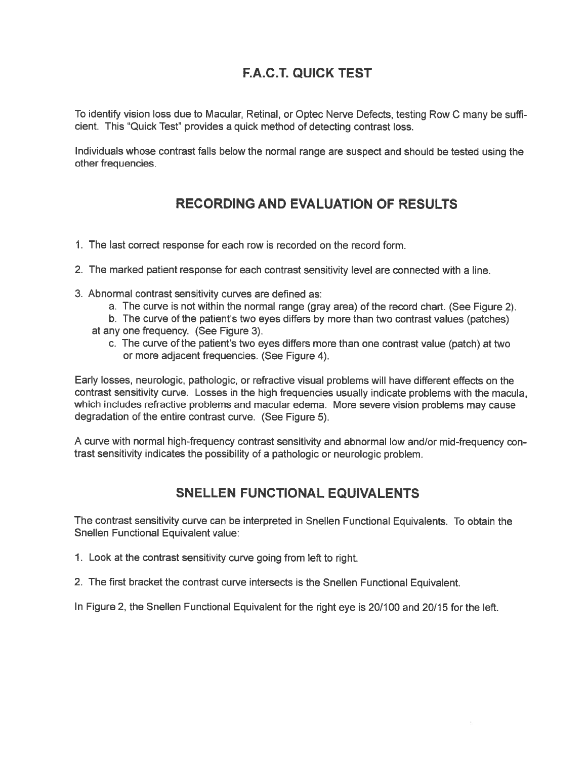## F.A.C.T. QUICK TEST

To identify vision loss due to Macular, Retinal, or Optec Nerve Defects, testing Row C many be suffi cient. This "Quick Test" provides <sup>a</sup> quick method of detecting contrast loss.

Individuals whose contrast falls below the normal range are suspec<sup>t</sup> and should be tested using the other frequencies.

#### RECORDING AND EVALUATION OF RESULTS

- 1. The last correct response for each row is recorded on the record form.
- 2. The marked patient response for each contrast sensitivity level are connected with <sup>a</sup> line.
- 3. Abnormal contrast sensitivity curves are defined as:
	- a. The curve is not within the normal range (gray area) of the record chart. (See Figure 2).
	- b. The curve of the patient's two eyes differs by more than two contrast values (patches)
	- at any one frequency. (See Figure 3).
		- c. The curve of the patient's two eyes differs more than one contrast value (patch) at two or more adjacent frequencies. (See Figure 4).

Early losses, neurologic, pathologic, or refractive visual problems will have different effects on the contrast sensitivity curve. Losses in the high frequencies usually indicate problems with the macula, which includes refractive problems and macular edema. More severe vision problems may cause degradation of the entire contrast curve. (See Figure 5).

A curve with normal high-frequency contrast sensitivity and abnormal low and/or mid-frequency con trast sensitivity indicates the possibility of <sup>a</sup> pathologic or neurologic problem.

#### SNELLEN FUNCTIONAL EQUIVALENTS

The contrast sensitivity curve can be interpreted in Snellen Functional Equivalents. To obtain the Snellen Functional Equivalent value:

- 1. Look at the contrast sensitivity curve going from left to right.
- 2. The first bracket the contrast curve intersects is the Snellen Functional Equivalent.

In Figure 2, the Snellen Functional Equivalent for the right eye is 20/100 and 20/15 for the left.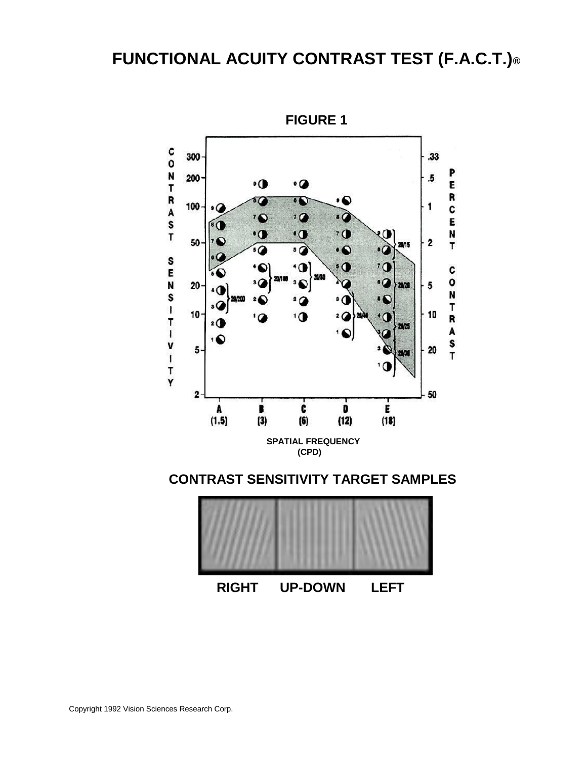## **FUNCTIONAL ACUITY CONTRAST TEST (F.A.C.T.)®**



**FIGURE 1** 

**RIGHT UP-DOWN LEFT**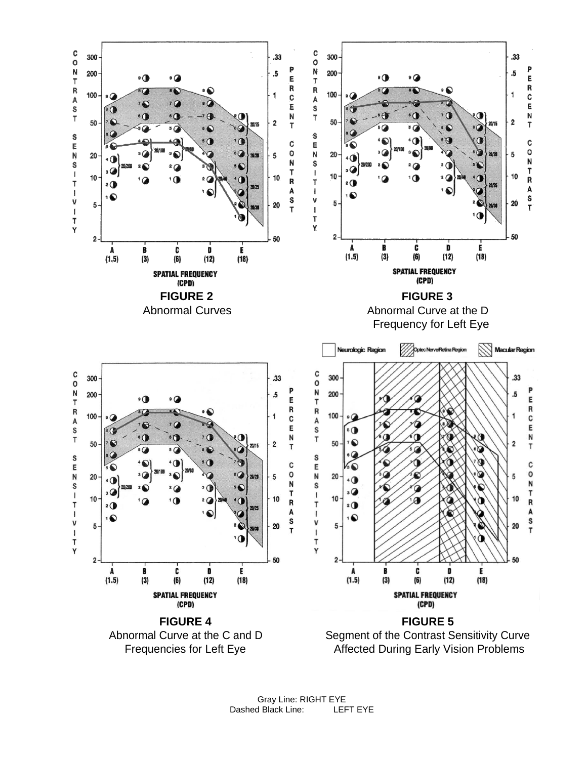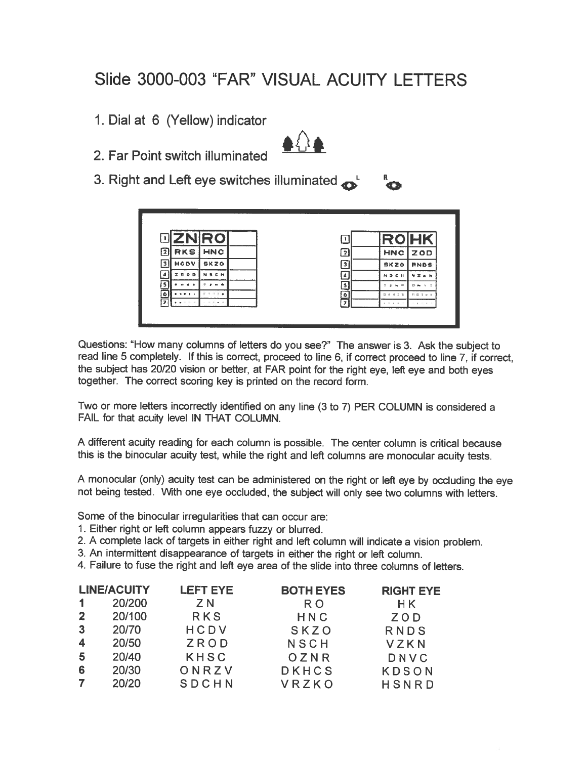## Slide 3000-003 "FAR" VISUAL ACUITY LETTERS

1. Dial at 6 (Yellow) indicator



- 2. Far Point switch illuminated
- 3. Right and Left eye switches illuminated

| <b>DZNRO</b>                                                             |             | n                       | <b>ROHK</b>     |                                |
|--------------------------------------------------------------------------|-------------|-------------------------|-----------------|--------------------------------|
| $\overline{\mathbf{2}}$<br><b>RKS</b>                                    | <b>HNC</b>  | 3                       | HNC             | <b>ZOD</b>                     |
| <b>HCDV</b><br>3                                                         | <b>BKZO</b> | $\overline{\mathbf{3}}$ | <b>SKZO</b>     | <b>RNDS</b>                    |
| $P$ $Q$ $D$                                                              | <b>CH</b>   | 4                       | $M \geq C$ at   | VZXN                           |
| $B - C$                                                                  |             |                         | $2 - 2 - 4 = 0$ | <b>D</b><br>$N-2$<br><b>Bo</b> |
| $\overline{\bullet}$<br>$\mathbf{N} \times \mathbf{E} \times \mathbf{E}$ |             | ۱۵.                     | $11 + 421$      | 日本生から                          |
| ъ.                                                                       |             | $\mathbf{r}$            | $1 - 1 - 1 - 1$ | .                              |

Questions: "How many columns of letters do you see?" The answer is 3. Ask the subject to read line <sup>5</sup> completely. If this is correct, procee<sup>d</sup> to line 6, if correct procee<sup>d</sup> to line 7, if correct, the subject has 20/20 vision or better, at FAR point for the right eye, left eye and both eyes together. The correct scoring key is printed on the record form.

Two or more letters incorrectly identified on any line (3 to 7) PER COLUMN is considered <sup>a</sup> FAIL for that acuity level IN THAT COLUMN.

<sup>A</sup> different acuity reading for each column is possible. The center column is critical because this is the binocular acuity test, while the right and left columns are monocular acuity tests.

<sup>A</sup> monocular (only) acuity test can be administered on the right or left eye by occluding the eye not being tested. With one eye occluded, the subject will only see two columns with letters.

Some of the binocular irregularities that can occur are:

- 1. Either right or left column appears fuzzy or blurred.
- 2. <sup>A</sup> complete lack of targets in either right and left column will indicate <sup>a</sup> vision problem.
- 3. An intermittent disappearance of targets in either the right or left column.
- 4. Failure to fuse the right and left eye area of the slide into three columns of letters.

|              | <b>LINE/ACUITY</b> | <b>LEFT EYE</b> | <b>BOTH EYES</b> | <b>RIGHT EYE</b> |
|--------------|--------------------|-----------------|------------------|------------------|
|              | 20/200             | Z N             | R <sub>O</sub>   | H K              |
| $\mathbf{2}$ | 20/100             | <b>RKS</b>      | HNC              | ZOD              |
| -3           | 20/70              | HCDV            | SKZO             | RNDS             |
| 4            | 20/50              | ZROD            | NSCH             | VZKN             |
| 5            | 20/40              | <b>KHSC</b>     | OZNR             | DNVC             |
| 6            | 20/30              | ONRZV           | <b>DKHCS</b>     | <b>KDSON</b>     |
|              | 20/20              | SDCHN           | VRZKO            | HSNRD            |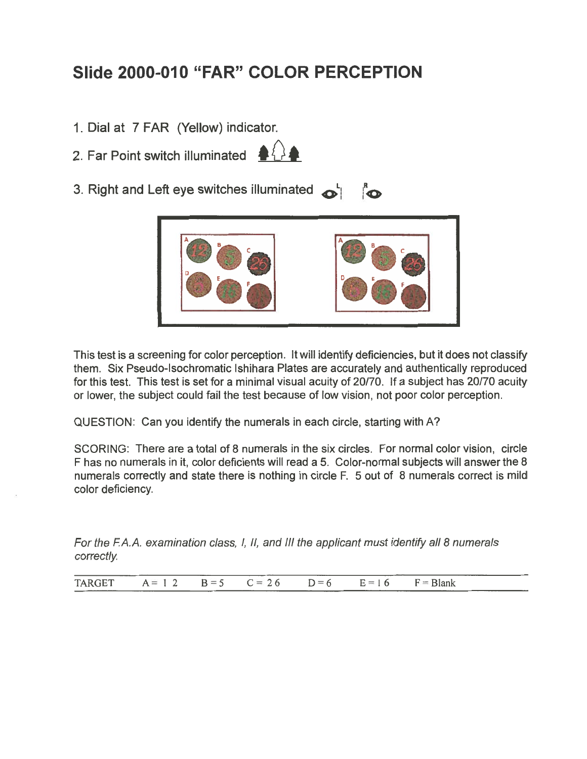## Slide 2000-010 "FAR" COLOR PERCEPTION

- 1. Dial at 7 FAR (Yellow) indicator.
- 2. Far Point switch illuminated  $\frac{1}{2}$



3. Right and Left eye switches illuminated  $\phi$   $\phi$ 



This test is <sup>a</sup> screening for color perception. It will identify deficiencies, but it does not classify them. Six Pseudo-Isochromatic Ishihara Plates are accurately and authentically reproduced for this test. This test is set for <sup>a</sup> minimal visual acuity of 20/70. If <sup>a</sup> subject has 20/70 acuity or lower, the subject could fail the test because of low vision, not poor color perception.

QUESTION: Can you identify the numerals in each circle, starting with A?

SCORING: There are <sup>a</sup> total of 8 numerals in the six circles. For normal color vision, circle <sup>F</sup> has no numerals in it, color deficients will read <sup>a</sup> 5. Color-normal subjects will answer the <sup>8</sup> numerals correctly and state there is nothing in circle F. 5 out of 8 numerals correct is mild color deficiency.

For the F.A.A. examination class, I, II, and III the applicant must identify all 8 numerals correctly.

TARGET  $A = 12$   $B = 5$   $C = 26$   $D = 6$   $E = 16$   $F = Blank$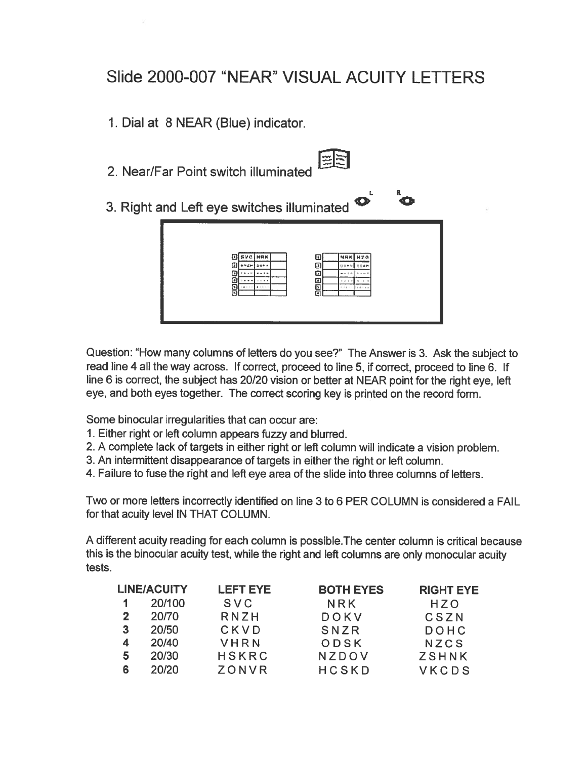## Slide 2000-007 "NEAR" VISUAL ACUITY LETTERS

1. Dial at 8 NEAR (Blue) indicator.

- 2. Near/Far Point switch illuminated
- 

I'

3. Right and Left eye switches illuminated



Question: "How many columns of letters do you see?" The Answer is 3. Ask the subject to read line <sup>4</sup> all the way across. If correct, procee<sup>d</sup> to line 5, if correct, procee<sup>d</sup> to line 6. If line <sup>6</sup> is correct, the subject has 20/20 vision or better at NEAR point for the right eye, left eye, and both eyes together. The correct scoring key is printed on the record form.

Some binocular irregularities that can occur are:

- 1. Either right or left column appears fuzzy and blurred.
- 2. <sup>A</sup> complete lack of targets in either right or left column will indicate <sup>a</sup> vision problem.
- 3. An intermittent disappearance of targets in either the right or left column.
- 4. Failure to fuse the right and left eye area of the slide into three columns of letters.

Two or more letters incorrectly identified on line 3 to 6 PER COLUMN is considered <sup>a</sup> FAIL for that acuity level IN THAT COLUMN.

A different acuity reading for each column is possible.The center column is critical because this is the binocular acuity test, while the right and left columns are only monocular acuity tests.

|   | <b>LINE/ACUITY</b> | <b>LEFT EYE</b> | <b>BOTH EYES</b> | <b>RIGHT EYE</b> |
|---|--------------------|-----------------|------------------|------------------|
|   | 20/100             | SVC             | NRK              | HZO              |
| 2 | 20/70              | RNZH            | DOKV             | CSZN             |
| 3 | 20/50              | CKVD            | SNZR             | DOHC             |
| 4 | 20/40              | VHRN            | ODSK             | NZCS             |
| 5 | 20/30              | <b>HSKRC</b>    | NZDOV            | <b>ZSHNK</b>     |
| 6 | 20/20              | ZONVR           | <b>HCSKD</b>     | VKCDS            |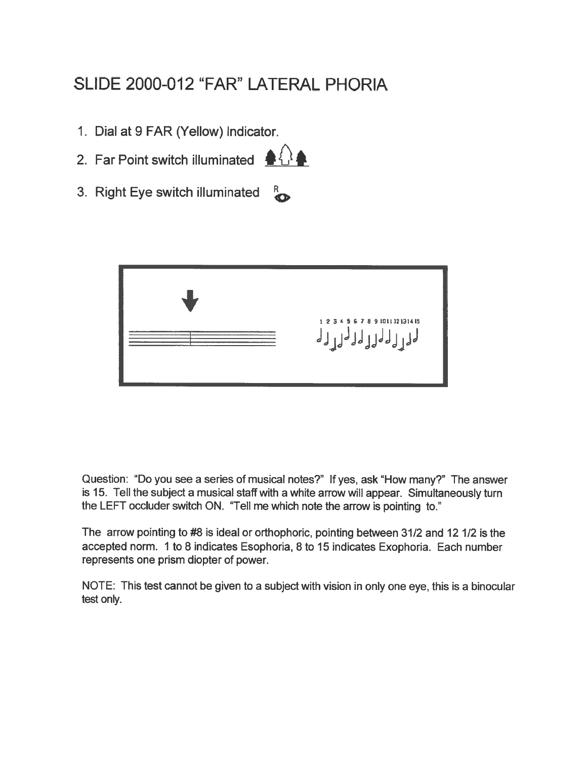## SLIDE 2000-012 "FAR" LATERAL PHORIA

- 1. Dial at 9 FAR (Yellow) Indicator.
- 2. Far Point switch illuminated  $\triangle$



3. Right Eye switch illuminated  $\frac{R}{4}$ 



Question: "Do you see <sup>a</sup> series of musical notes?" If yes, ask "How many?" The answer is 15. Tell the subject <sup>a</sup> musical staff with <sup>a</sup> white arrow will appear. Simultaneously turn the LEFT occluder switch ON. "Tell me which note the arrow is pointing to."

The arrow pointing to #8 is ideal or orthophoric, pointing between 31/2 and 12 1/2 is the accepted norm. 1 to 8 indicates Esophoria, 8 to 15 indicates Exophoria. Each number represents one prism diopter of power.

NOTE: This test cannot be <sup>g</sup>iven to <sup>a</sup> subject with vision in only one eye, this is <sup>a</sup> binocular test only.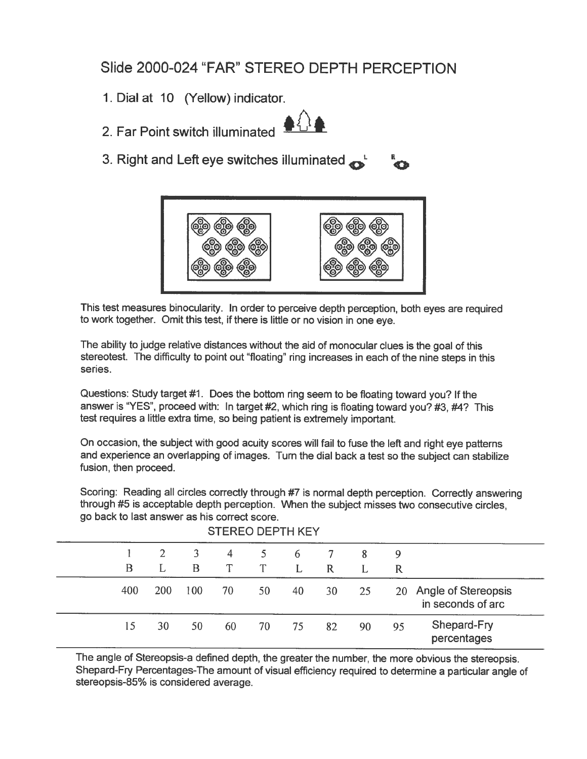## Slide 2000-024 "FAR" STEREO DEPTH PERCEPTION

- 1. Dial at 10 (Yellow) indicator.
- 2. Far Point switch illuminated



3. Right and Left eye switches illuminated  $\mathbb{R}^1$ 



This test measures binocularity. In order to perceive depth perception, both eyes are required to work together. Omit this test, if there is little or no vision in one eye.

The ability to judge relative distances without the aid of monocular clues is the goa<sup>l</sup> of this stereotest. The difficulty to point out "floating" ring increases in each of the nine steps in this series.

Questions: Study target #1. Does the bottom ring seem to be floating toward you? If the answer is "YES", procee<sup>d</sup> with: In target #2, which ring is floating toward you? #3, #4? This test requires <sup>a</sup> little extra time, so being patient is extremely important.

On occasion, the subject with goo<sup>d</sup> acuity scores will fail to fuse the left and right eye patterns and experience an overlapping of images. Turn the dial back <sup>a</sup> test so the subject can stabilize fusion, then proceed.

Scoring: Reading all circles correctly through #7 is normal depth perception. Correctly answering through #5 is acceptable depth perception. When the subject misses two consecutive circles, go back to last answer as his correct score.

| <b>STEREO DEPTH KEY</b> |            |     |    |             |    |              |    |    |                                             |
|-------------------------|------------|-----|----|-------------|----|--------------|----|----|---------------------------------------------|
|                         | 2          | 3   | 4  | $5^{\circ}$ | 6  |              | 8  | 9  |                                             |
| B                       | L          | B   | T  | T           | L  | $\mathbb{R}$ |    | R  |                                             |
| 400                     | <b>200</b> | 100 | 70 | 50          | 40 | 30           | 25 |    | 20 Angle of Stereopsis<br>in seconds of arc |
| 15                      | 30         | 50  | 60 | 70          | 75 | 82           | 90 | 95 | Shepard-Fry<br>percentages                  |

The angle of Stereopsis-a defined depth, the greater the number, the more obvious the stereopsis. Shepard-Fry Percentages-The amount of visual efficiency required to determine <sup>a</sup> particular angle of stereopsis-85% is considered average.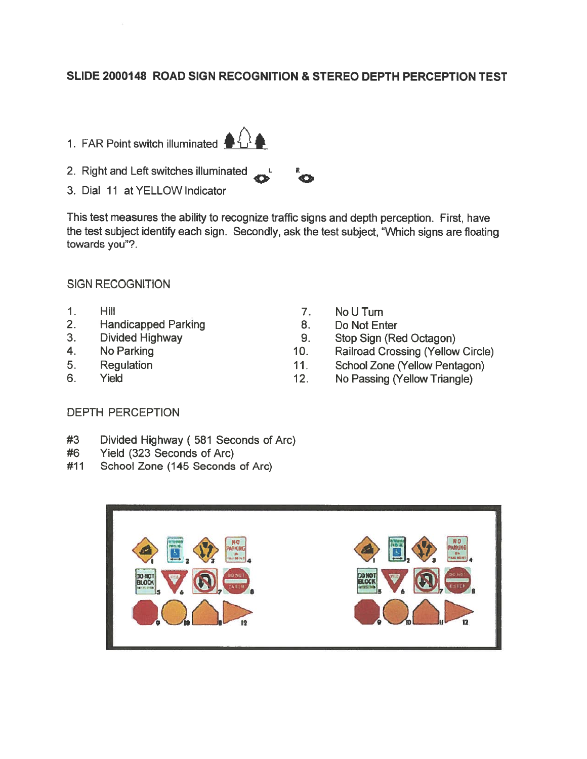#### SLIDE 2000148 ROAD SIGN RECOGNITION & STEREO DEPTH PERCEPTION TEST

- 1. FAR Point switch illuminated  $\bigoplus_{i=1}^{n}$
- 2. Right and Left switches illuminated
- 3. Dial 11 at YELLOW Indicator

This test measures the ability to recognize traffic signs and depth perception. First, have the test subject identify each sign. Secondly, ask the test subject, "Which signs are floating towards you"?.

#### SIGN RECOGNITION

- 1. Hill
- 2. Handicapped Parking
- 3. Divided Highway
- 4. No Parking
- 5. Regulation
- 6. Yield
- 7. NoUTurn
- 8. Do Not Enter
- 9. Stop Sign (Red Octagon)
- 10. Railroad Crossing (Yellow Circle)
- 11. School Zone (Yellow Pentagon)
- 12. No Passing (Yellow Triangle)

#### DEPTH PERCEPTION

- Divided Highway ( <sup>581</sup> Seconds of Arc) #3
- Yield (323 Seconds of Arc) #6
- School Zone (145 Seconds of Arc) #11







H